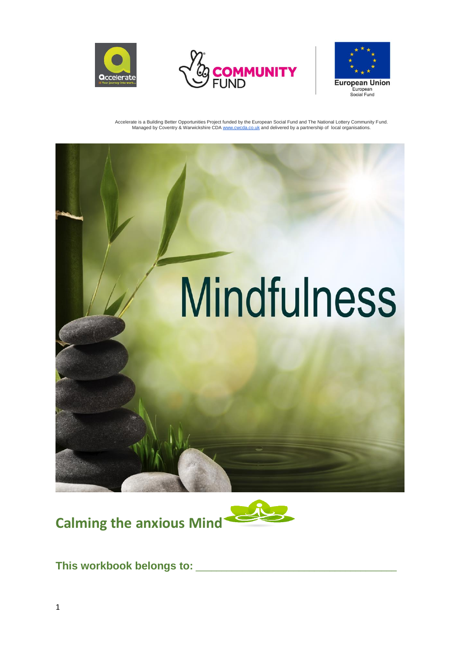







**Calming the anxious Mind**



This workbook belongs to: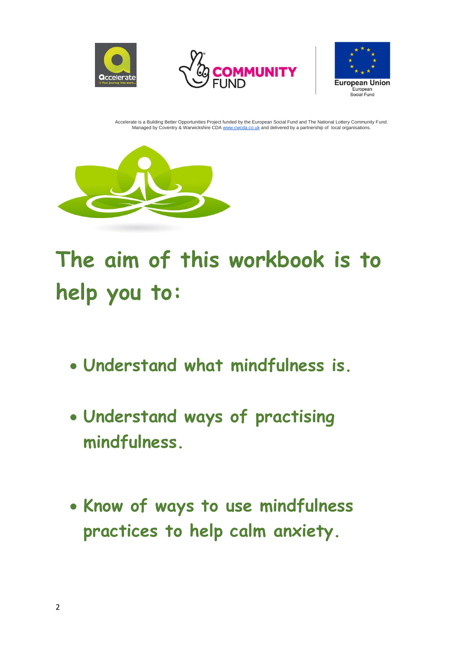







**The aim of this workbook is to help you to:**

- **Understand what mindfulness is.**
- **Understand ways of practising mindfulness.**
- **Know of ways to use mindfulness practices to help calm anxiety.**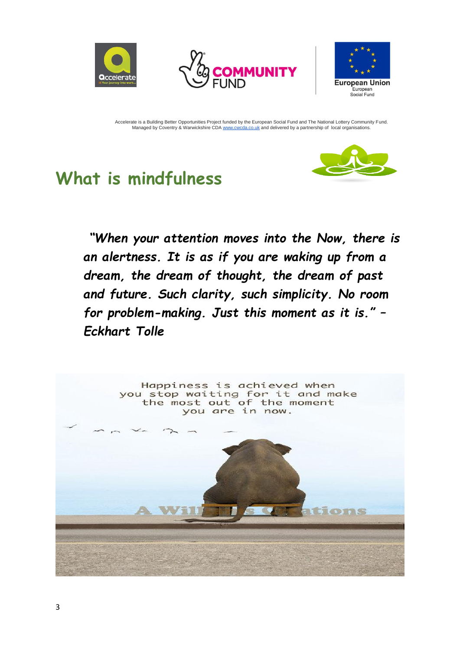



![](_page_2_Picture_2.jpeg)

## **What is mindfulness**

![](_page_2_Picture_5.jpeg)

*"When your attention moves into the Now, there is an alertness. It is as if you are waking up from a dream, the dream of thought, the dream of past and future. Such clarity, such simplicity. No room for problem-making. Just this moment as it is." – Eckhart Tolle*

![](_page_2_Picture_7.jpeg)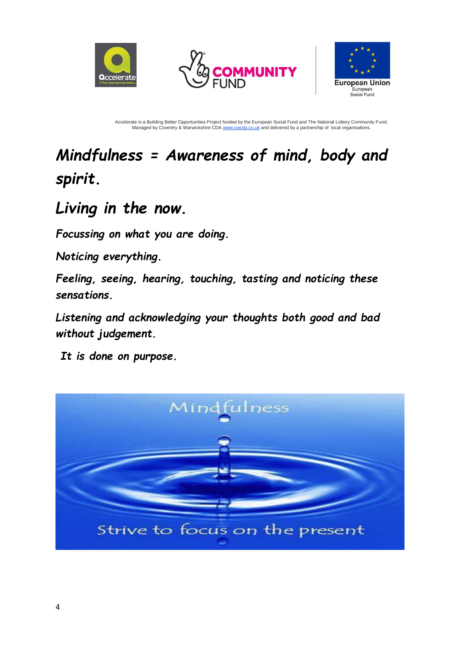![](_page_3_Picture_0.jpeg)

![](_page_3_Picture_1.jpeg)

![](_page_3_Picture_2.jpeg)

## *Mindfulness = Awareness of mind, body and spirit.*

## *Living in the now.*

*Focussing on what you are doing.* 

*Noticing everything.* 

*Feeling, seeing, hearing, touching, tasting and noticing these sensations.*

*Listening and acknowledging your thoughts both good and bad without judgement.*

*It is done on purpose.*

![](_page_3_Picture_11.jpeg)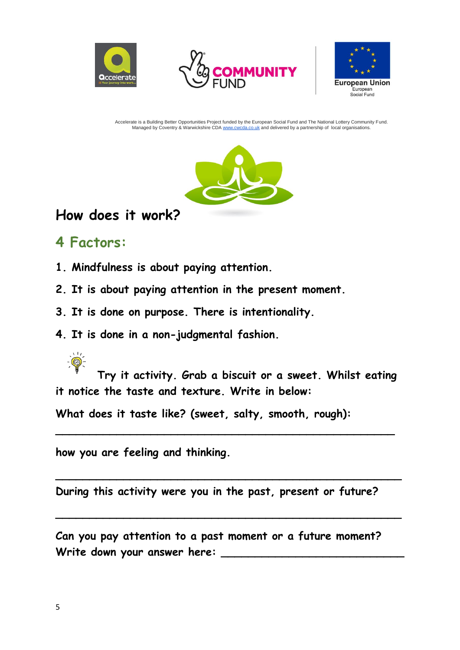![](_page_4_Picture_0.jpeg)

![](_page_4_Picture_1.jpeg)

![](_page_4_Picture_2.jpeg)

![](_page_4_Picture_4.jpeg)

#### **How does it work?**

#### **4 Factors:**

- **1. Mindfulness is about paying attention.**
- **2. It is about paying attention in the present moment.**
- **3. It is done on purpose. There is intentionality.**
- **4. It is done in a non-judgmental fashion.**

**Try it activity. Grab a biscuit or a sweet. Whilst eating it notice the taste and texture. Write in below:**

**\_\_\_\_\_\_\_\_\_\_\_\_\_\_\_\_\_\_\_\_\_\_\_\_\_\_\_\_\_\_\_\_\_\_\_\_\_\_\_\_\_\_\_\_\_\_\_\_\_\_**

**\_\_\_\_\_\_\_\_\_\_\_\_\_\_\_\_\_\_\_\_\_\_\_\_\_\_\_\_\_\_\_\_\_\_\_\_\_\_\_\_\_\_\_\_\_\_\_\_\_\_\_**

**\_\_\_\_\_\_\_\_\_\_\_\_\_\_\_\_\_\_\_\_\_\_\_\_\_\_\_\_\_\_\_\_\_\_\_\_\_\_\_\_\_\_\_\_\_\_\_\_\_\_\_**

**What does it taste like? (sweet, salty, smooth, rough):** 

**how you are feeling and thinking.** 

**During this activity were you in the past, present or future?**

**Can you pay attention to a past moment or a future moment? Write down your answer here: \_\_\_\_\_\_\_\_\_\_\_\_\_\_\_\_\_\_\_\_\_\_\_\_\_\_\_**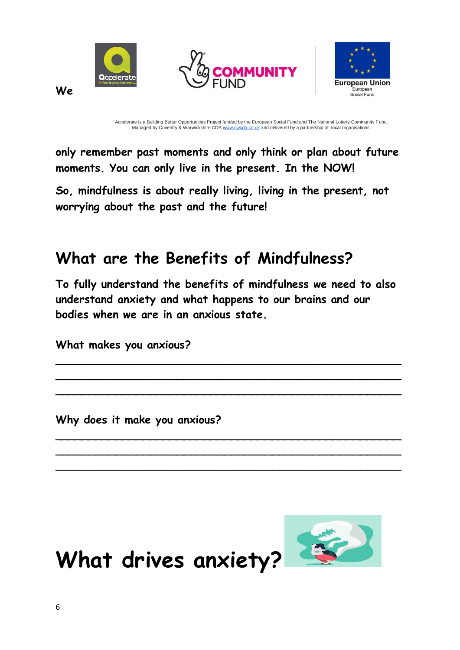![](_page_5_Picture_0.jpeg)

**only remember past moments and only think or plan about future moments. You can only live in the present. In the NOW!**

**So, mindfulness is about really living, living in the present, not worrying about the past and the future!**

## **What are the Benefits of Mindfulness?**

**To fully understand the benefits of mindfulness we need to also understand anxiety and what happens to our brains and our bodies when we are in an anxious state.**

\_\_\_\_\_\_\_\_\_\_\_\_\_\_\_\_\_\_\_\_\_\_\_\_\_\_\_\_\_\_\_\_\_\_\_\_\_\_\_\_\_\_\_\_\_\_\_\_\_\_\_ \_\_\_\_\_\_\_\_\_\_\_\_\_\_\_\_\_\_\_\_\_\_\_\_\_\_\_\_\_\_\_\_\_\_\_\_\_\_\_\_\_\_\_\_\_\_\_\_\_\_\_ \_\_\_\_\_\_\_\_\_\_\_\_\_\_\_\_\_\_\_\_\_\_\_\_\_\_\_\_\_\_\_\_\_\_\_\_\_\_\_\_\_\_\_\_\_\_\_\_\_\_\_

\_\_\_\_\_\_\_\_\_\_\_\_\_\_\_\_\_\_\_\_\_\_\_\_\_\_\_\_\_\_\_\_\_\_\_\_\_\_\_\_\_\_\_\_\_\_\_\_\_\_\_ \_\_\_\_\_\_\_\_\_\_\_\_\_\_\_\_\_\_\_\_\_\_\_\_\_\_\_\_\_\_\_\_\_\_\_\_\_\_\_\_\_\_\_\_\_\_\_\_\_\_\_ \_\_\_\_\_\_\_\_\_\_\_\_\_\_\_\_\_\_\_\_\_\_\_\_\_\_\_\_\_\_\_\_\_\_\_\_\_\_\_\_\_\_\_\_\_\_\_\_\_\_\_

**What makes you anxious?**

**Why does it make you anxious?**

![](_page_5_Picture_8.jpeg)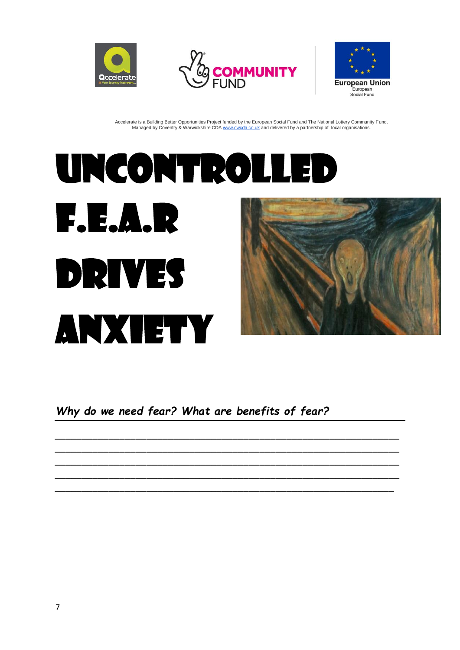![](_page_6_Picture_0.jpeg)

![](_page_6_Picture_1.jpeg)

![](_page_6_Picture_2.jpeg)

# Uncontrolled F.E.A.R Drives Anxiety

*Why do we need fear? What are benefits of fear?* 

*\_\_\_\_\_\_\_\_\_\_\_\_\_\_\_\_\_\_\_\_\_\_\_\_\_\_\_\_\_\_\_\_\_\_\_\_\_\_\_\_\_\_\_\_\_\_\_\_\_\_\_\_\_\_\_\_\_\_\_\_\_\_\_\_ \_\_\_\_\_\_\_\_\_\_\_\_\_\_\_\_\_\_\_\_\_\_\_\_\_\_\_\_\_\_\_\_\_\_\_\_\_\_\_\_\_\_\_\_\_\_\_\_\_\_\_\_\_\_\_\_\_\_\_\_\_\_\_\_ \_\_\_\_\_\_\_\_\_\_\_\_\_\_\_\_\_\_\_\_\_\_\_\_\_\_\_\_\_\_\_\_\_\_\_\_\_\_\_\_\_\_\_\_\_\_\_\_\_\_\_\_\_\_\_\_\_\_\_\_\_\_\_\_ \_\_\_\_\_\_\_\_\_\_\_\_\_\_\_\_\_\_\_\_\_\_\_\_\_\_\_\_\_\_\_\_\_\_\_\_\_\_\_\_\_\_\_\_\_\_\_\_\_\_\_\_\_\_\_\_\_\_\_\_\_\_\_\_ \_\_\_\_\_\_\_\_\_\_\_\_\_\_\_\_\_\_\_\_\_\_\_\_\_\_\_\_\_\_\_\_\_\_\_\_\_\_\_\_\_\_\_\_\_\_\_\_\_\_\_\_\_\_\_\_\_\_\_\_\_\_\_*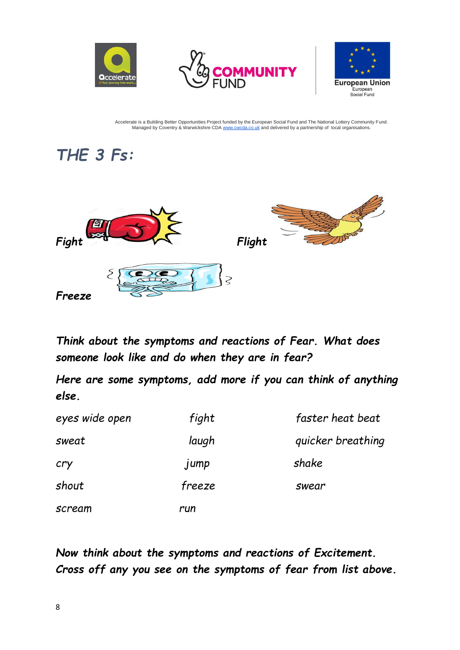![](_page_7_Picture_0.jpeg)

![](_page_7_Picture_1.jpeg)

![](_page_7_Picture_2.jpeg)

## *THE 3 Fs:*

![](_page_7_Picture_5.jpeg)

*Think about the symptoms and reactions of Fear. What does someone look like and do when they are in fear?*

*Here are some symptoms, add more if you can think of anything else.*

| eyes wide open | fight  | faster heat beat  |
|----------------|--------|-------------------|
| sweat          | laugh  | quicker breathing |
| cry            | jump   | shake             |
| shout          | freeze | swear             |
| scream         | run    |                   |

*Now think about the symptoms and reactions of Excitement. Cross off any you see on the symptoms of fear from list above.*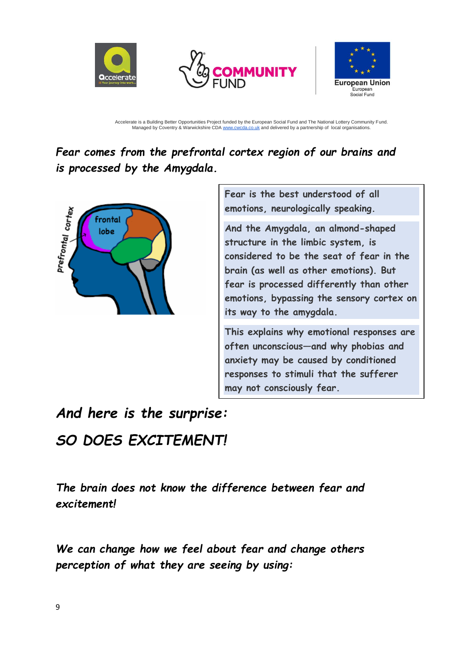![](_page_8_Picture_0.jpeg)

![](_page_8_Picture_1.jpeg)

![](_page_8_Picture_2.jpeg)

*Fear comes from the prefrontal cortex region of our brains and is processed by the Amygdala.*

![](_page_8_Picture_5.jpeg)

**Fear is the best understood of all emotions, neurologically speaking.** 

**And the Amygdala, an almond-shaped structure in the limbic system, is considered to be the seat of fear in the brain (as well as other emotions). But fear is processed differently than other emotions, bypassing the sensory cortex on its way to the amygdala.** 

**This explains why emotional responses are often unconscious—and why phobias and anxiety may be caused by conditioned responses to stimuli that the sufferer may not consciously fear.**

## *And here is the surprise: SO DOES EXCITEMENT!*

*The brain does not know the difference between fear and excitement!*

*We can change how we feel about fear and change others perception of what they are seeing by using:*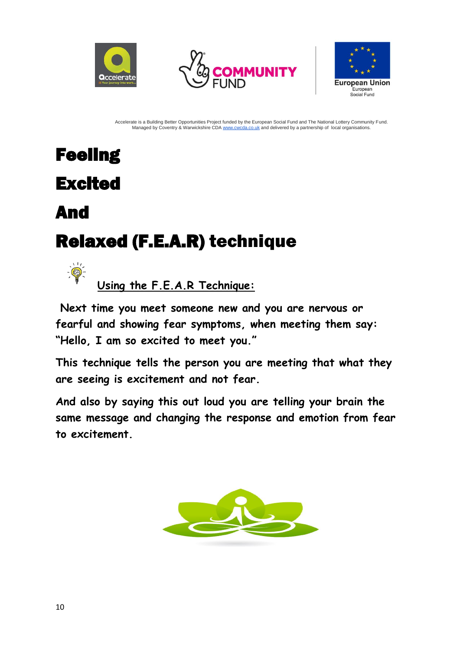![](_page_9_Picture_0.jpeg)

![](_page_9_Picture_1.jpeg)

![](_page_9_Picture_2.jpeg)

## **Feeling** Excited

## And

 $-\frac{1}{2}$ 

## Relaxed(F.E.A.R)technique

**Using the F.E.A.R Technique:**

**Next time you meet someone new and you are nervous or fearful and showing fear symptoms, when meeting them say: "Hello, I am so excited to meet you."** 

**This technique tells the person you are meeting that what they are seeing is excitement and not fear.** 

**And also by saying this out loud you are telling your brain the same message and changing the response and emotion from fear to excitement.** 

![](_page_9_Picture_11.jpeg)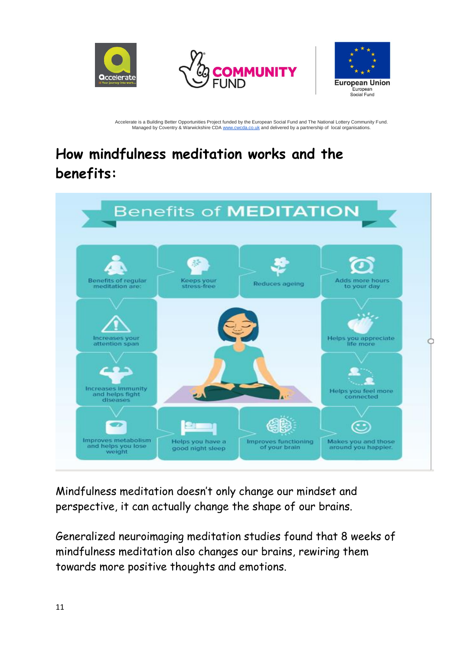![](_page_10_Picture_0.jpeg)

![](_page_10_Picture_1.jpeg)

![](_page_10_Picture_2.jpeg)

## **How mindfulness meditation works and the benefits:**

![](_page_10_Figure_5.jpeg)

Mindfulness meditation doesn't only change our mindset and perspective, it can actually change the shape of our brains.

Generalized neuroimaging meditation studies found that 8 weeks of mindfulness meditation also [changes our brains,](https://help.headspace.com/hc/en-us/articles/360000211447-How-does-mindfulness-meditation-work-) rewiring them towards more positive thoughts and emotions.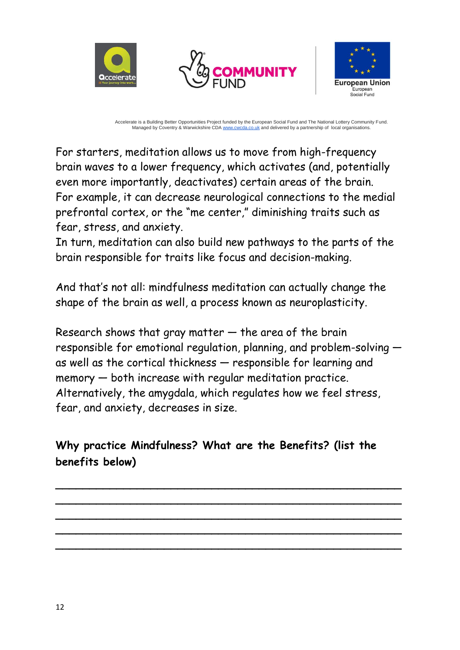![](_page_11_Picture_0.jpeg)

![](_page_11_Picture_1.jpeg)

![](_page_11_Picture_2.jpeg)

For starters, meditation allows us to move from high-frequency brain waves to a lower frequency, which activates (and, potentially even more importantly, deactivates) certain areas of the brain. For example, it can decrease neurological connections to the medial prefrontal cortex, or the "me center," diminishing traits such as fear, stress, and anxiety.

In turn, meditation can also build new pathways to the parts of the brain responsible for traits like focus and decision-making.

And that's not all: mindfulness meditation can actually change the shape of the brain as well, a process known as neuroplasticity.

Research shows that gray matter  $-$  the area of the brain responsible for emotional regulation, planning, and problem-solving as well as the cortical thickness — responsible for learning and memory — both increase with regular meditation practice. Alternatively, the amygdala, which regulates how we feel [stress,](https://www.headspace.com/meditation/stress) fear, and [anxiety,](https://www.headspace.com/meditation/anxiety) decreases in size.

**Why practice Mindfulness? What are the Benefits? (list the benefits below)**

**\_\_\_\_\_\_\_\_\_\_\_\_\_\_\_\_\_\_\_\_\_\_\_\_\_\_\_\_\_\_\_\_\_\_\_\_\_\_\_\_\_\_\_\_\_\_\_\_\_\_\_ \_\_\_\_\_\_\_\_\_\_\_\_\_\_\_\_\_\_\_\_\_\_\_\_\_\_\_\_\_\_\_\_\_\_\_\_\_\_\_\_\_\_\_\_\_\_\_\_\_\_\_ \_\_\_\_\_\_\_\_\_\_\_\_\_\_\_\_\_\_\_\_\_\_\_\_\_\_\_\_\_\_\_\_\_\_\_\_\_\_\_\_\_\_\_\_\_\_\_\_\_\_\_ \_\_\_\_\_\_\_\_\_\_\_\_\_\_\_\_\_\_\_\_\_\_\_\_\_\_\_\_\_\_\_\_\_\_\_\_\_\_\_\_\_\_\_\_\_\_\_\_\_\_\_ \_\_\_\_\_\_\_\_\_\_\_\_\_\_\_\_\_\_\_\_\_\_\_\_\_\_\_\_\_\_\_\_\_\_\_\_\_\_\_\_\_\_\_\_\_\_\_\_\_\_\_**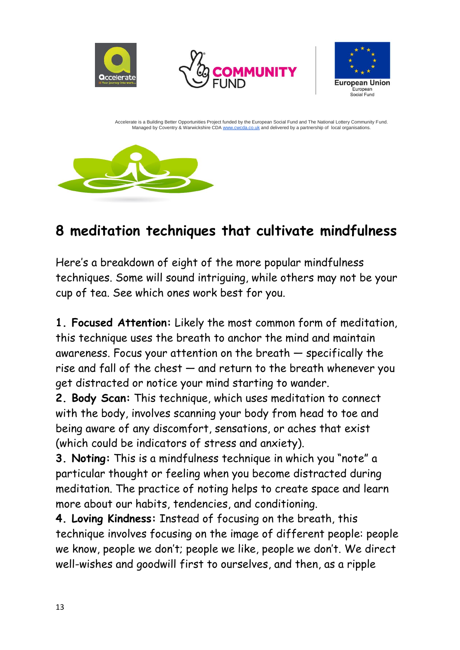![](_page_12_Picture_0.jpeg)

### **8 meditation techniques that cultivate mindfulness**

Here's a breakdown of eight of the more popular mindfulness techniques. Some will sound intriguing, while others may not be your cup of tea. See which ones work best for you.

**1. Focused Attention:** Likely the most common form of meditation, this technique uses the breath to anchor the mind and maintain awareness. Focus your attention on the breath — specifically the rise and fall of the chest — and return to the breath whenever you get distracted or notice your mind starting to wander.

**2. Body Scan:** This technique, which uses meditation to connect with the body, involves scanning your body from head to toe and being aware of any discomfort, sensations, or aches that exist (which could be indicators of stress and anxiety).

**3. Noting:** This is a mindfulness technique in which you "note" a particular thought or feeling when you become distracted during meditation. The practice of noting helps to create space and learn more about our habits, tendencies, and conditioning.

**4. Loving Kindness:** Instead of focusing on the breath, [this](https://www.headspace.com/meditation/compassion)  [technique](https://www.headspace.com/meditation/compassion) involves focusing on the image of different people: people we know, people we don't; people we like, people we don't. We direct well-wishes and goodwill first to ourselves, and then, as a ripple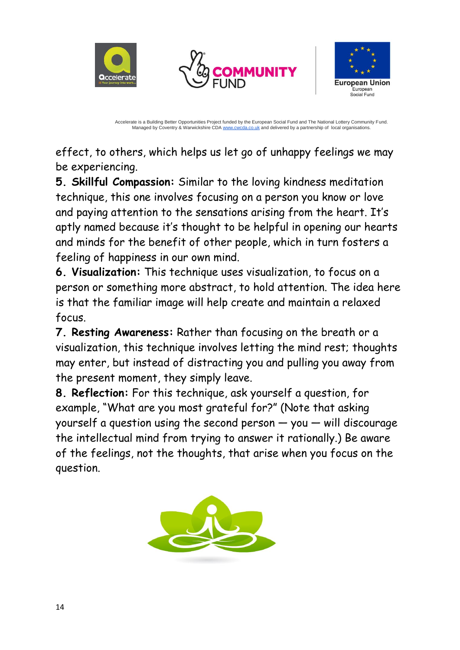![](_page_13_Picture_0.jpeg)

![](_page_13_Picture_1.jpeg)

![](_page_13_Picture_2.jpeg)

effect, to others, which helps us let go of unhappy feelings we may be experiencing.

**5. Skillful Compassion:** Similar to [the loving kindness meditation](https://www.headspace.com/meditation/compassion)  [technique,](https://www.headspace.com/meditation/compassion) this one involves focusing on a person you know or love and paying attention to the sensations arising from the heart. It's aptly named because it's thought to be helpful in opening our hearts and minds for the benefit of other people, which in turn fosters a feeling of happiness in our own mind.

**6. Visualization:** This technique uses visualization, to focus on a person or something more abstract, to hold attention. The idea here is that the familiar image will help create and maintain a relaxed focus.

**7. Resting Awareness:** Rather than focusing on the breath or a visualization, this technique involves letting the mind rest; thoughts may enter, but instead of distracting you and pulling you away from the present moment, they simply leave.

**8. Reflection:** For this technique, ask yourself a question, for example, "What are you most grateful for?" (Note that asking yourself a question using the second person — you — will discourage the intellectual mind from trying to answer it rationally.) Be aware of the feelings, not the thoughts, that arise when you focus on the question.

![](_page_13_Picture_9.jpeg)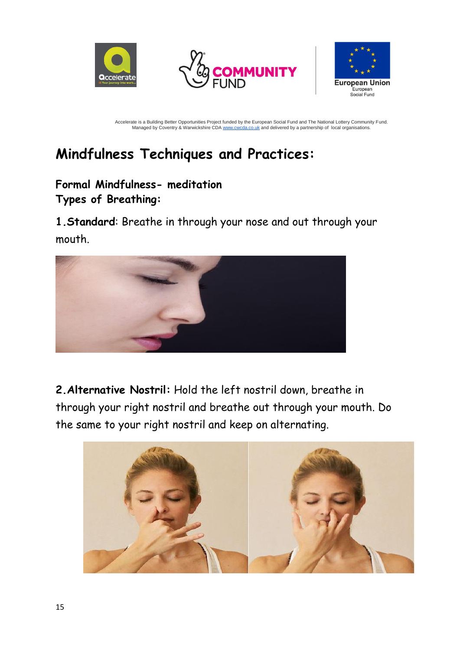![](_page_14_Picture_0.jpeg)

![](_page_14_Picture_1.jpeg)

![](_page_14_Picture_2.jpeg)

## **Mindfulness Techniques and Practices:**

#### **Formal Mindfulness- meditation Types of Breathing:**

**1.Standard**: Breathe in through your nose and out through your mouth.

![](_page_14_Picture_7.jpeg)

**2.Alternative Nostril:** Hold the left nostril down, breathe in through your right nostril and breathe out through your mouth. Do the same to your right nostril and keep on alternating.

![](_page_14_Picture_9.jpeg)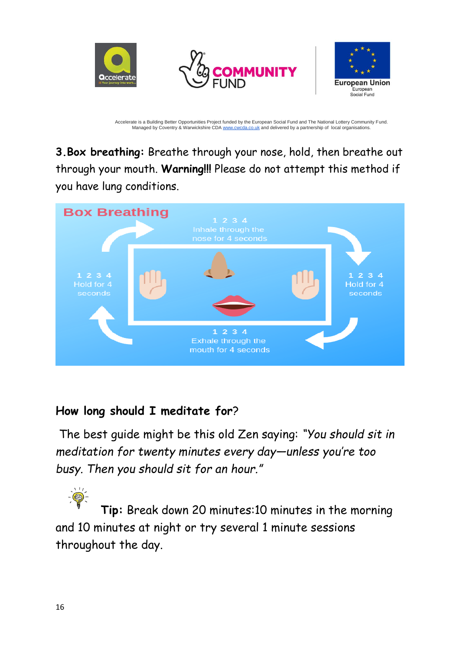![](_page_15_Picture_0.jpeg)

**3.Box breathing:** Breathe through your nose, hold, then breathe out through your mouth. **Warning!!!** Please do not attempt this method if you have lung conditions.

![](_page_15_Figure_3.jpeg)

#### **How long should I meditate for**?

The best guide might be this old Zen saying: *"You should sit in meditation for twenty minutes every day—unless you're too busy. Then you should sit for an hour."* 

**Tip:** Break down 20 minutes:10 minutes in the morning and 10 minutes at night or try several 1 minute sessions throughout the day.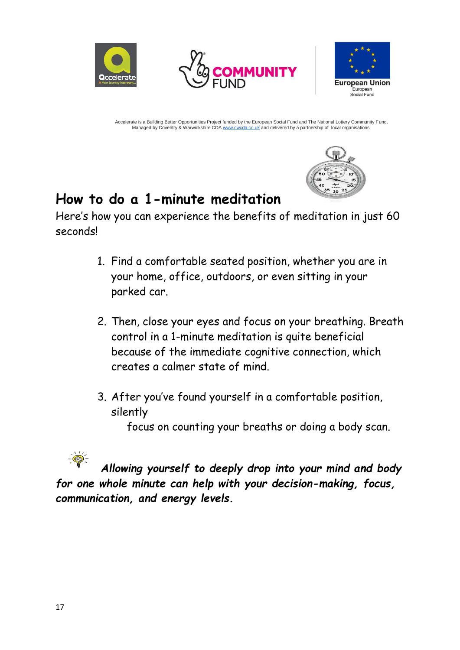![](_page_16_Picture_0.jpeg)

![](_page_16_Picture_1.jpeg)

![](_page_16_Picture_2.jpeg)

![](_page_16_Picture_4.jpeg)

#### **How to do a 1-minute meditation**

Here's how you can experience [the benefits of meditation](https://www.headspace.com/meditation/daily-meditation) in just 60 seconds!

- 1. Find [a comfortable seated position,](https://www.headspace.com/meditation/positions) whether you are in your home, office, outdoors, or even sitting in your parked car.
- 2. Then, close your eyes and focus on your breathing. Breath control in a 1-minute meditation is quite beneficial because of the immediate cognitive connection, which creates a calmer state of mind.
- 3. After you've found yourself in a comfortable position, silently

focus on counting your breaths or doing a body scan.

![](_page_16_Picture_11.jpeg)

*Allowing yourself to deeply drop into your mind and body for one whole minute can help with your [decision-making,](https://www.sciencedaily.com/releases/2014/02/140212112745.htm) [focus,](https://www.headspace.com/meditation/focus) communication, and energy levels.*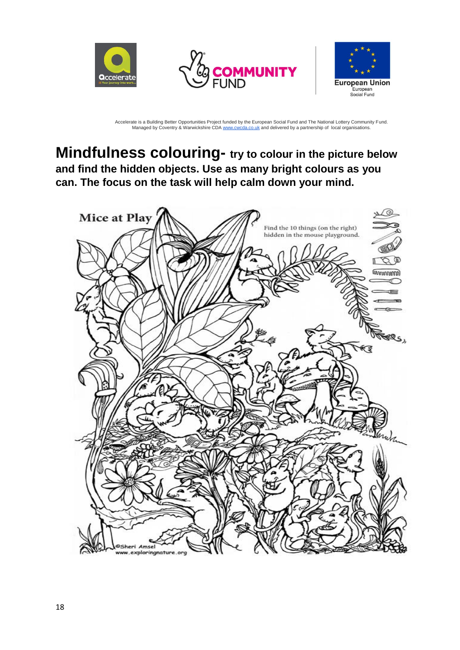![](_page_17_Picture_0.jpeg)

![](_page_17_Picture_1.jpeg)

![](_page_17_Picture_2.jpeg)

#### **Mindfulness colouring- try to colour in the picture below and find the hidden objects. Use as many bright colours as you can. The focus on the task will help calm down your mind.**

![](_page_17_Picture_5.jpeg)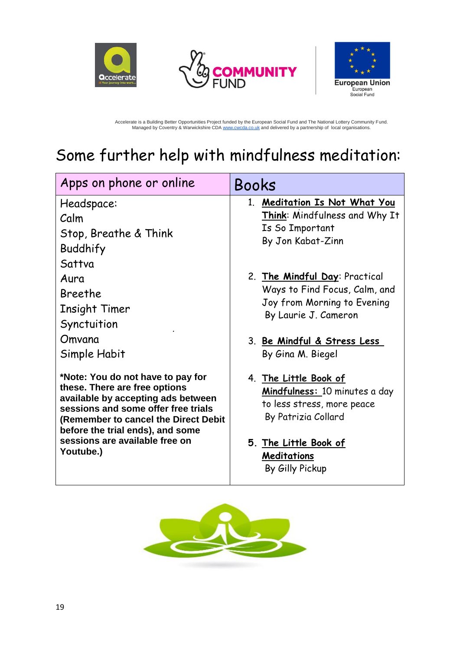![](_page_18_Picture_0.jpeg)

![](_page_18_Picture_1.jpeg)

![](_page_18_Picture_2.jpeg)

Accelerate is a Building Better Opportunities Project funded by the European Social Fund and The National Lottery Community Fund.<br>Managed by Coventry & Warwickshire CDA [www.cwcda.co.uk](http://www.cwcda.co.uk/) and delivered by a partnership of loc

## Some further help with mindfulness meditation:

| Apps on phone or online                                                                                                                                                                                                                                                    | Books                                                                                                                                                                     |  |
|----------------------------------------------------------------------------------------------------------------------------------------------------------------------------------------------------------------------------------------------------------------------------|---------------------------------------------------------------------------------------------------------------------------------------------------------------------------|--|
| Headspace:<br>Calm<br>Stop, Breathe & Think<br>Buddhify                                                                                                                                                                                                                    | 1. Meditation Is Not What You<br>Think: Mindfulness and Why It<br>Is So Important<br>By Jon Kabat-Zinn                                                                    |  |
| Sattva<br>Aura<br>Breethe<br>Insight Timer<br>Synctuition<br>Omvana<br>Simple Habit                                                                                                                                                                                        | 2. The Mindful Day: Practical<br>Ways to Find Focus, Calm, and<br>Joy from Morning to Evening<br>By Laurie J. Cameron<br>3. Be Mindful & Stress Less<br>By Gina M. Biegel |  |
| *Note: You do not have to pay for<br>these. There are free options<br>available by accepting ads between<br>sessions and some offer free trials<br>(Remember to cancel the Direct Debit<br>before the trial ends), and some<br>sessions are available free on<br>Youtube.) | 4. The Little Book of<br>Mindfulness: 10 minutes a day<br>to less stress, more peace<br>By Patrizia Collard<br>5. The Little Book of<br>Meditations<br>By Gilly Pickup    |  |

![](_page_18_Picture_6.jpeg)